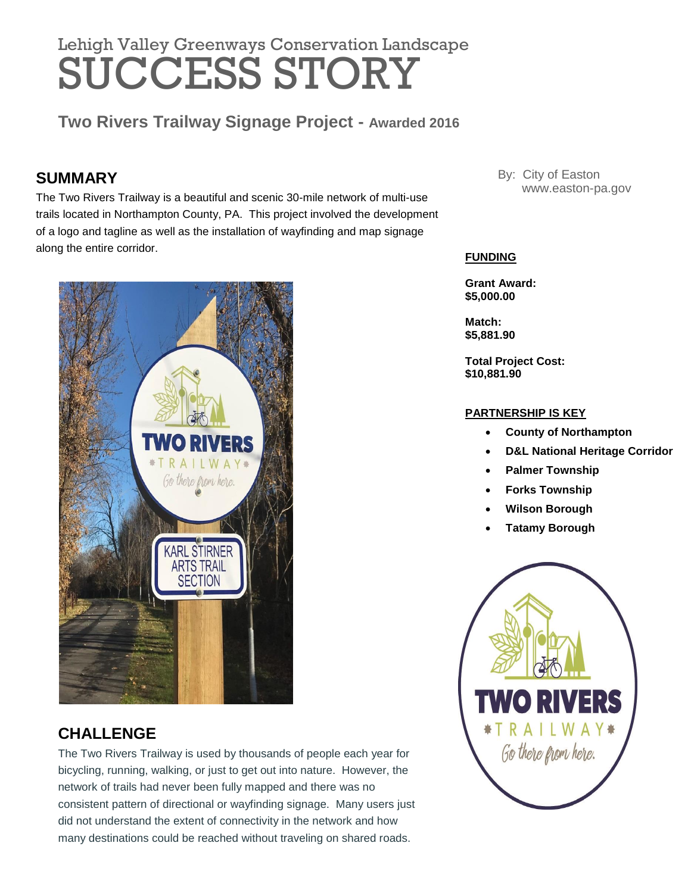# Lehigh Valley Greenways Conservation Landscape SUCCESS STORY

**Two Rivers Trailway Signage Project - Awarded 2016**

# **SUMMARY**

The Two Rivers Trailway is a beautiful and scenic 30-mile network of multi-use trails located in Northampton County, PA. This project involved the development of a logo and tagline as well as the installation of wayfinding and map signage along the entire corridor.



# **CHALLENGE**

The Two Rivers Trailway is used by thousands of people each year for bicycling, running, walking, or just to get out into nature. However, the network of trails had never been fully mapped and there was no consistent pattern of directional or wayfinding signage. Many users just did not understand the extent of connectivity in the network and how many destinations could be reached without traveling on shared roads.

By: City of Easton www.easton-pa.gov

### **FUNDING**

**Grant Award: \$5,000.00**

**Match: \$5,881.90**

**Total Project Cost: \$10,881.90**

### **PARTNERSHIP IS KEY**

- **County of Northampton**
- **D&L National Heritage Corridor**
- **Palmer Township**
- **Forks Township**
- **Wilson Borough**
- **Tatamy Borough**